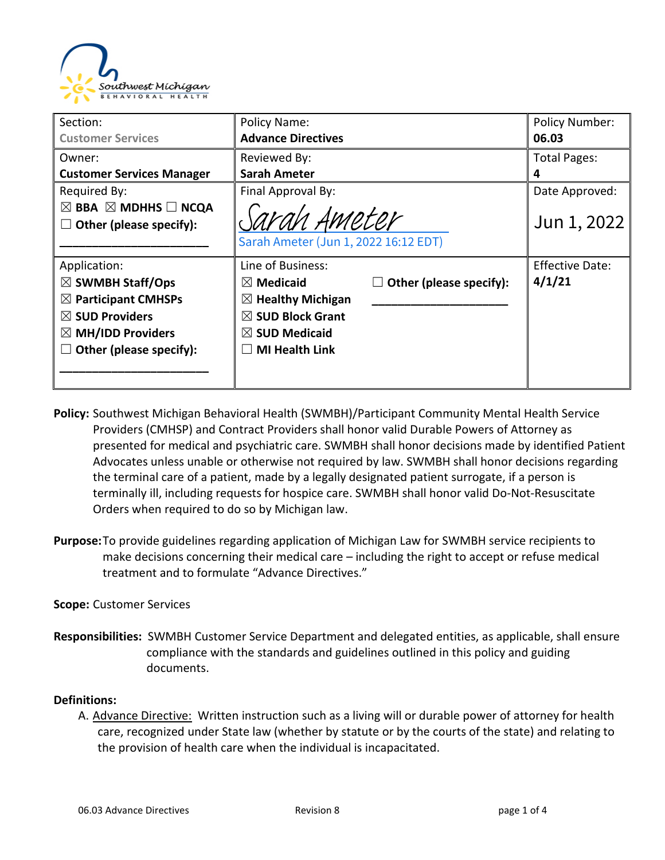

| Section:                                      | Policy Name:                         |                         | <b>Policy Number:</b>  |
|-----------------------------------------------|--------------------------------------|-------------------------|------------------------|
| <b>Customer Services</b>                      | <b>Advance Directives</b>            |                         | 06.03                  |
| Owner:                                        | Reviewed By:                         |                         | <b>Total Pages:</b>    |
| <b>Customer Services Manager</b>              | <b>Sarah Ameter</b>                  |                         | 4                      |
| Required By:                                  | Final Approval By:                   |                         | Date Approved:         |
| $\boxtimes$ BBA $\boxtimes$ MDHHS $\Box$ NCQA |                                      |                         |                        |
| Other (please specify):<br>$\Box$             | Sarah Ameter                         | Jun 1, 2022             |                        |
|                                               | Sarah Ameter (Jun 1, 2022 16:12 EDT) |                         |                        |
| Application:                                  | Line of Business:                    |                         | <b>Effective Date:</b> |
| $\boxtimes$ SWMBH Staff/Ops                   | $\boxtimes$ Medicaid                 | Other (please specify): | 4/1/21                 |
| $\boxtimes$ Participant CMHSPs                | $\boxtimes$ Healthy Michigan         |                         |                        |
| $\boxtimes$ SUD Providers                     | $\boxtimes$ SUD Block Grant          |                         |                        |
| $\boxtimes$ MH/IDD Providers                  | $\boxtimes$ SUD Medicaid             |                         |                        |
| Other (please specify):                       | <b>MI Health Link</b>                |                         |                        |
|                                               |                                      |                         |                        |
|                                               |                                      |                         |                        |

- **Policy:** Southwest Michigan Behavioral Health (SWMBH)/Participant Community Mental Health Service Providers (CMHSP) and Contract Providers shall honor valid Durable Powers of Attorney as presented for medical and psychiatric care. SWMBH shall honor decisions made by identified Patient Advocates unless unable or otherwise not required by law. SWMBH shall honor decisions regarding the terminal care of a patient, made by a legally designated patient surrogate, if a person is terminally ill, including requests for hospice care. SWMBH shall honor valid Do-Not-Resuscitate Orders when required to do so by Michigan law.
- **Purpose:**To provide guidelines regarding application of Michigan Law for SWMBH service recipients to make decisions concerning their medical care – including the right to accept or refuse medical treatment and to formulate "Advance Directives."

#### **Scope:** Customer Services

**Responsibilities:** SWMBH Customer Service Department and delegated entities, as applicable, shall ensure compliance with the standards and guidelines outlined in this policy and guiding documents.

#### **Definitions:**

A. Advance Directive: Written instruction such as a living will or durable power of attorney for health care, recognized under State law (whether by statute or by the courts of the state) and relating to the provision of health care when the individual is incapacitated.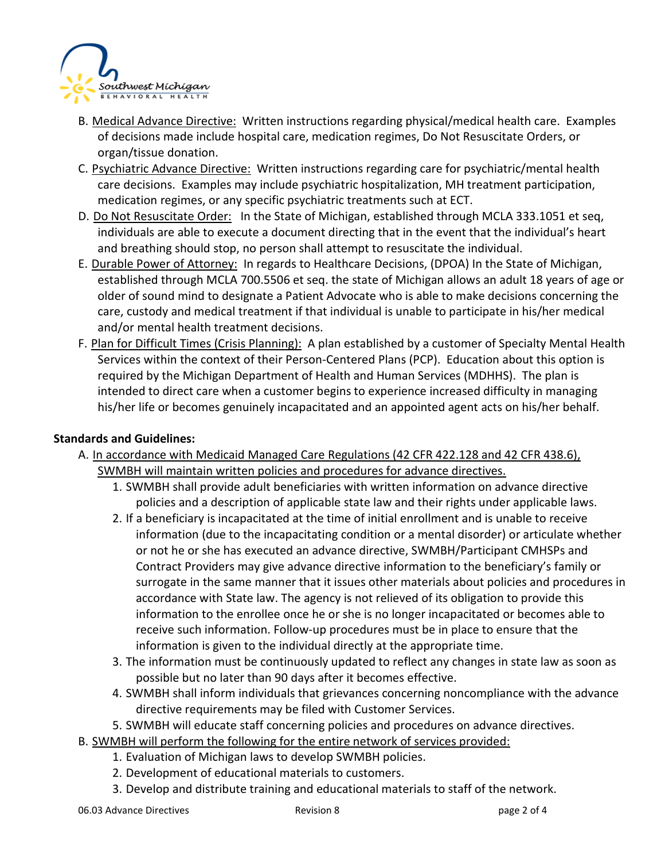

- B. Medical Advance Directive: Written instructions regarding physical/medical health care. Examples of decisions made include hospital care, medication regimes, Do Not Resuscitate Orders, or organ/tissue donation.
- C. Psychiatric Advance Directive: Written instructions regarding care for psychiatric/mental health care decisions. Examples may include psychiatric hospitalization, MH treatment participation, medication regimes, or any specific psychiatric treatments such at ECT.
- D. Do Not Resuscitate Order: In the State of Michigan, established through MCLA 333.1051 et seq, individuals are able to execute a document directing that in the event that the individual's heart and breathing should stop, no person shall attempt to resuscitate the individual.
- E. Durable Power of Attorney: In regards to Healthcare Decisions, (DPOA) In the State of Michigan, established through MCLA 700.5506 et seq. the state of Michigan allows an adult 18 years of age or older of sound mind to designate a Patient Advocate who is able to make decisions concerning the care, custody and medical treatment if that individual is unable to participate in his/her medical and/or mental health treatment decisions.
- F. Plan for Difficult Times (Crisis Planning): A plan established by a customer of Specialty Mental Health Services within the context of their Person-Centered Plans (PCP). Education about this option is required by the Michigan Department of Health and Human Services (MDHHS). The plan is intended to direct care when a customer begins to experience increased difficulty in managing his/her life or becomes genuinely incapacitated and an appointed agent acts on his/her behalf.

### **Standards and Guidelines:**

- A. In accordance with Medicaid Managed Care Regulations (42 CFR 422.128 and 42 CFR 438.6), SWMBH will maintain written policies and procedures for advance directives.
	- 1. SWMBH shall provide adult beneficiaries with written information on advance directive policies and a description of applicable state law and their rights under applicable laws.
	- 2. If a beneficiary is incapacitated at the time of initial enrollment and is unable to receive information (due to the incapacitating condition or a mental disorder) or articulate whether or not he or she has executed an advance directive, SWMBH/Participant CMHSPs and Contract Providers may give advance directive information to the beneficiary's family or surrogate in the same manner that it issues other materials about policies and procedures in accordance with State law. The agency is not relieved of its obligation to provide this information to the enrollee once he or she is no longer incapacitated or becomes able to receive such information. Follow-up procedures must be in place to ensure that the information is given to the individual directly at the appropriate time.
	- 3. The information must be continuously updated to reflect any changes in state law as soon as possible but no later than 90 days after it becomes effective.
	- 4. SWMBH shall inform individuals that grievances concerning noncompliance with the advance directive requirements may be filed with Customer Services.
	- 5. SWMBH will educate staff concerning policies and procedures on advance directives.
- B. SWMBH will perform the following for the entire network of services provided:
	- 1. Evaluation of Michigan laws to develop SWMBH policies.
	- 2. Development of educational materials to customers.
	- 3. Develop and distribute training and educational materials to staff of the network.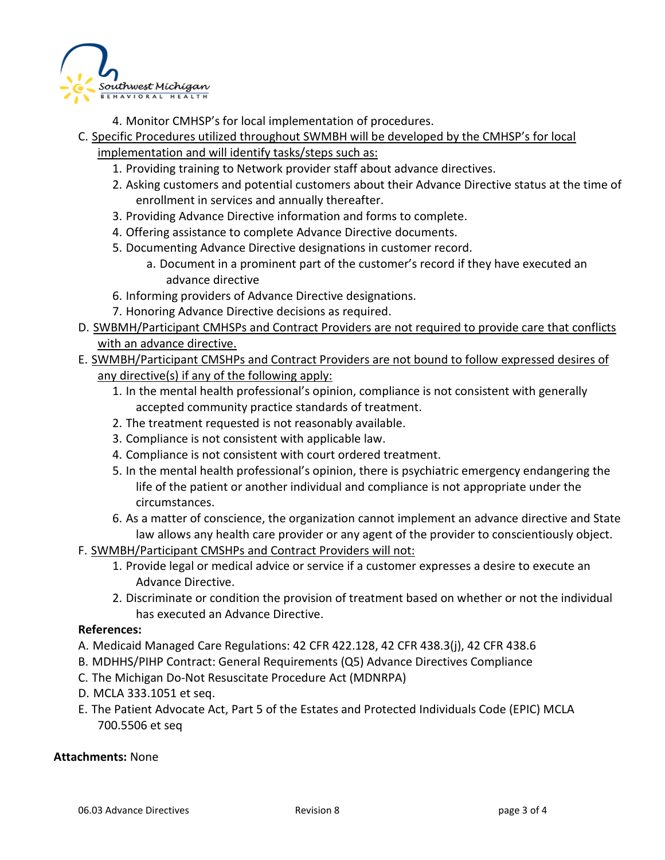

- 4. Monitor CMHSP's for local implementation of procedures.
- C. Specific Procedures utilized throughout SWMBH will be developed by the CMHSP's for local implementation and will identify tasks/steps such as:
	- 1. Providing training to Network provider staff about advance directives.
	- 2. Asking customers and potential customers about their Advance Directive status at the time of enrollment in services and annually thereafter.
	- 3. Providing Advance Directive information and forms to complete.
	- 4. Offering assistance to complete Advance Directive documents.
	- 5. Documenting Advance Directive designations in customer record.
		- a. Document in a prominent part of the customer's record if they have executed an advance directive
	- 6. Informing providers of Advance Directive designations.
	- 7. Honoring Advance Directive decisions as required.
- D. SWBMH/Participant CMHSPs and Contract Providers are not required to provide care that conflicts with an advance directive.
- E. SWMBH/Participant CMSHPs and Contract Providers are not bound to follow expressed desires of any directive(s) if any of the following apply:
	- 1. In the mental health professional's opinion, compliance is not consistent with generally accepted community practice standards of treatment.
	- 2. The treatment requested is not reasonably available.
	- 3. Compliance is not consistent with applicable law.
	- 4. Compliance is not consistent with court ordered treatment.
	- 5. In the mental health professional's opinion, there is psychiatric emergency endangering the life of the patient or another individual and compliance is not appropriate under the circumstances.
	- 6. As a matter of conscience, the organization cannot implement an advance directive and State law allows any health care provider or any agent of the provider to conscientiously object.
- F. SWMBH/Participant CMSHPs and Contract Providers will not:
	- 1. Provide legal or medical advice or service if a customer expresses a desire to execute an Advance Directive.
	- 2. Discriminate or condition the provision of treatment based on whether or not the individual has executed an Advance Directive.

#### **References:**

- A. Medicaid Managed Care Regulations: 42 CFR 422.128, 42 CFR 438.3(j), 42 CFR 438.6
- B. MDHHS/PIHP Contract: General Requirements (Q5) Advance Directives Compliance
- C. The Michigan Do-Not Resuscitate Procedure Act (MDNRPA)
- D. MCLA 333.1051 et seq.
- E. The Patient Advocate Act, Part 5 of the Estates and Protected Individuals Code (EPIC) MCLA 700.5506 et seq

#### **Attachments:** None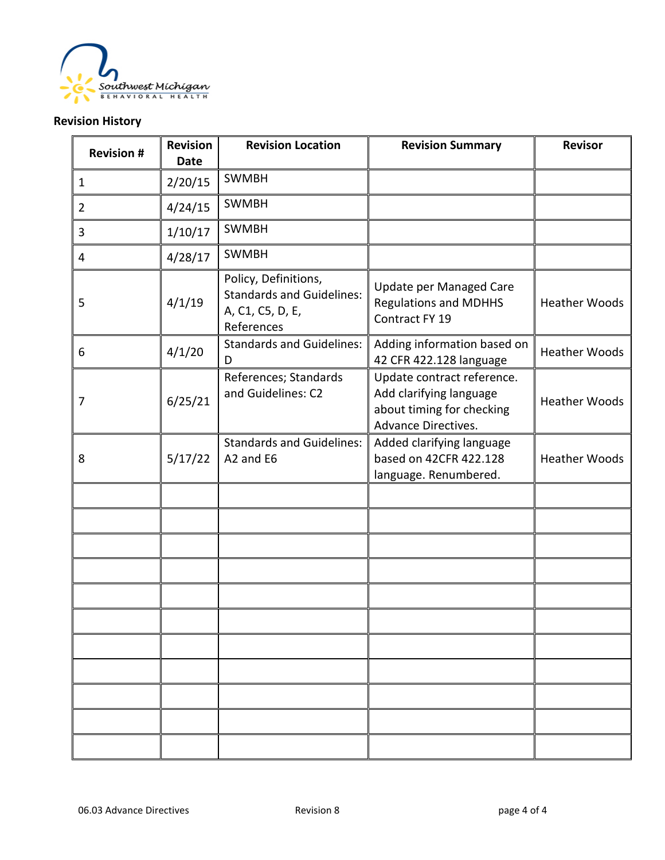

## **Revision History**

| <b>Revision #</b> | <b>Revision</b><br><b>Date</b> | <b>Revision Location</b>                                                                   | <b>Revision Summary</b>                                                                                   | <b>Revisor</b>       |
|-------------------|--------------------------------|--------------------------------------------------------------------------------------------|-----------------------------------------------------------------------------------------------------------|----------------------|
| $\mathbf{1}$      | 2/20/15                        | <b>SWMBH</b>                                                                               |                                                                                                           |                      |
| $\overline{2}$    | 4/24/15                        | <b>SWMBH</b>                                                                               |                                                                                                           |                      |
| 3                 | 1/10/17                        | <b>SWMBH</b>                                                                               |                                                                                                           |                      |
| 4                 | 4/28/17                        | <b>SWMBH</b>                                                                               |                                                                                                           |                      |
| 5                 | 4/1/19                         | Policy, Definitions,<br><b>Standards and Guidelines:</b><br>A, C1, C5, D, E,<br>References | Update per Managed Care<br><b>Regulations and MDHHS</b><br>Contract FY 19                                 | <b>Heather Woods</b> |
| 6                 | 4/1/20                         | <b>Standards and Guidelines:</b><br>D                                                      | Adding information based on<br>42 CFR 422.128 language                                                    | <b>Heather Woods</b> |
| 7                 | 6/25/21                        | References; Standards<br>and Guidelines: C2                                                | Update contract reference.<br>Add clarifying language<br>about timing for checking<br>Advance Directives. | <b>Heather Woods</b> |
| 8                 | 5/17/22                        | <b>Standards and Guidelines:</b><br>A2 and E6                                              | Added clarifying language<br>based on 42CFR 422.128<br>language. Renumbered.                              | <b>Heather Woods</b> |
|                   |                                |                                                                                            |                                                                                                           |                      |
|                   |                                |                                                                                            |                                                                                                           |                      |
|                   |                                |                                                                                            |                                                                                                           |                      |
|                   |                                |                                                                                            |                                                                                                           |                      |
|                   |                                |                                                                                            |                                                                                                           |                      |
|                   |                                |                                                                                            |                                                                                                           |                      |
|                   |                                |                                                                                            |                                                                                                           |                      |
|                   |                                |                                                                                            |                                                                                                           |                      |
|                   |                                |                                                                                            |                                                                                                           |                      |
|                   |                                |                                                                                            |                                                                                                           |                      |
|                   |                                |                                                                                            |                                                                                                           |                      |